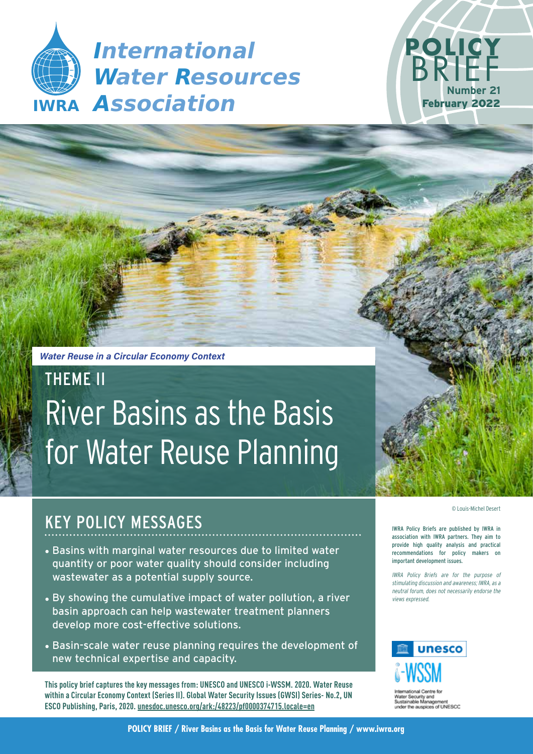**IWRA** *Association International Water Resources*



*Water Reuse in a Circular Economy Context*

# THEME II River Basins as the Basis for Water Reuse Planning



# KEY POLICY MESSAGES

- Basins with marginal water resources due to limited water quantity or poor water quality should consider including wastewater as a potential supply source.
- By showing the cumulative impact of water pollution, a river basin approach can help wastewater treatment planners develop more cost-effective solutions.
- Basin-scale water reuse planning requires the development of new technical expertise and capacity.

**This policy brief captures the key messages from: UNESCO and UNESCO i-WSSM. 2020. Water Reuse within a Circular Economy Context (Series II). Global Water Security Issues (GWSI) Series- No.2, UN ESCO Publishing, Paris, 2020. unesdoc.unesco.org/ark:/48223/pf0000374715.locale=en**

IWRA Policy Briefs are published by IWRA in association with IWRA partners. They aim to provide high quality analysis and practical recommendations for policy makers on important development issues.

IWRA Policy Briefs are for the purpose of stimulating discussion and awareness; IWRA, as a neutral forum, does not necessarily endorse the views expressed.



of UNESCO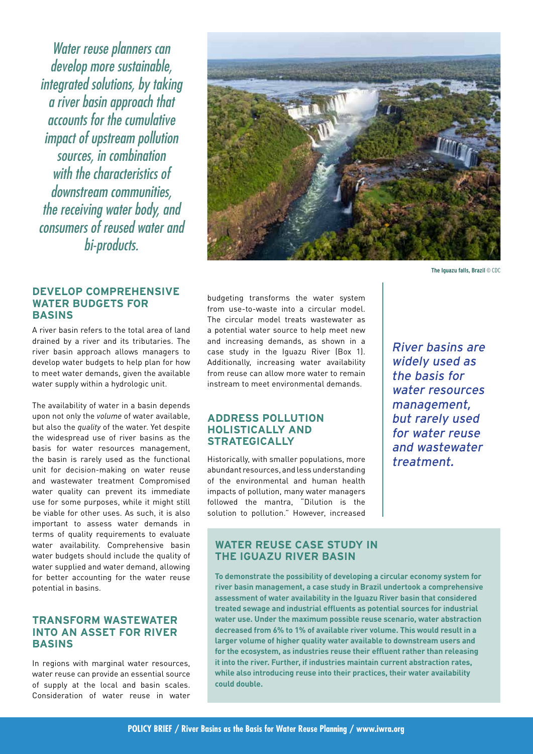Water reuse planners can develop more sustainable, integrated solutions, by taking a river basin approach that accounts for the cumulative impact of upstream pollution sources, in combination with the characteristics of downstream communities. the receiving water body, and consumers of reused water and bi-products.

#### **DEVELOP COMPREHENSIVE WATER BUDGETS FOR BASINS**

A river basin refers to the total area of land drained by a river and its tributaries. The river basin approach allows managers to develop water budgets to help plan for how to meet water demands, given the available water supply within a hydrologic unit.

The availability of water in a basin depends upon not only the *volume* of water available, but also the *quality* of the water. Yet despite the widespread use of river basins as the basis for water resources management, the basin is rarely used as the functional unit for decision-making on water reuse and wastewater treatment Compromised water quality can prevent its immediate use for some purposes, while it might still be viable for other uses. As such, it is also important to assess water demands in terms of quality requirements to evaluate water availability. Comprehensive basin water budgets should include the quality of water supplied and water demand, allowing for better accounting for the water reuse potential in basins.

### **TRANSFORM WASTEWATER INTO AN ASSET FOR RIVER BASINS**

In regions with marginal water resources, water reuse can provide an essential source of supply at the local and basin scales. Consideration of water reuse in water



**The Iguazu falls, Brazil** © CDC

budgeting transforms the water system from use-to-waste into a circular model. The circular model treats wastewater as a potential water source to help meet new and increasing demands, as shown in a case study in the Iguazu River (Box 1). Additionally, increasing water availability from reuse can allow more water to remain instream to meet environmental demands.

#### **ADDRESS POLLUTION HOLISTICALLY AND STRATEGICALLY**

Historically, with smaller populations, more abundant resources, and less understanding of the environmental and human health impacts of pollution, many water managers followed the mantra, "Dilution is the solution to pollution." However, increased

River basins are widely used as the basis for water resources management, but rarely used for water reuse and wastewater treatment.

## **WATER REUSE CASE STUDY IN THE IGUAZU RIVER BASIN**

**To demonstrate the possibility of developing a circular economy system for river basin management, a case study in Brazil undertook a comprehensive assessment of water availability in the Iguazu River basin that considered treated sewage and industrial effluents as potential sources for industrial water use. Under the maximum possible reuse scenario, water abstraction decreased from 6% to 1% of available river volume. This would result in a larger volume of higher quality water available to downstream users and for the ecosystem, as industries reuse their effluent rather than releasing it into the river. Further, if industries maintain current abstraction rates, while also introducing reuse into their practices, their water availability could double.**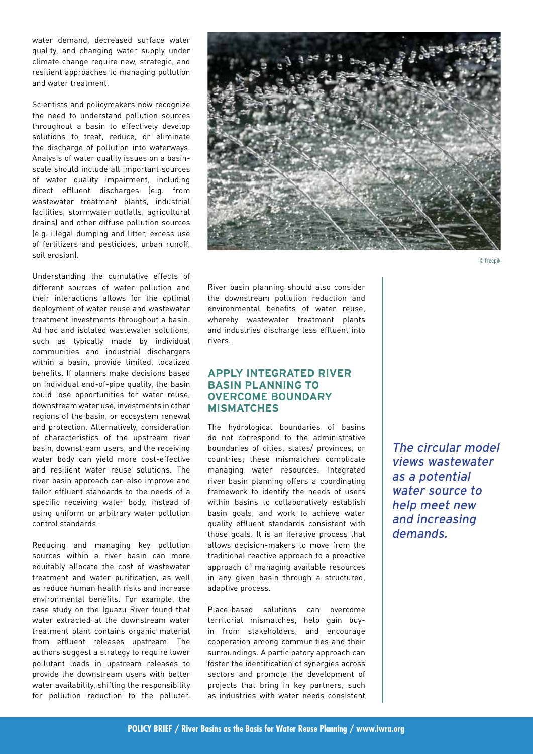water demand, decreased surface water quality, and changing water supply under climate change require new, strategic, and resilient approaches to managing pollution and water treatment.

Scientists and policymakers now recognize the need to understand pollution sources throughout a basin to effectively develop solutions to treat, reduce, or eliminate the discharge of pollution into waterways. Analysis of water quality issues on a basinscale should include all important sources of water quality impairment, including direct effluent discharges (e.g. from wastewater treatment plants, industrial facilities, stormwater outfalls, agricultural drains) and other diffuse pollution sources (e.g. illegal dumping and litter, excess use of fertilizers and pesticides, urban runoff, soil erosion).

Understanding the cumulative effects of different sources of water pollution and their interactions allows for the optimal deployment of water reuse and wastewater treatment investments throughout a basin. Ad hoc and isolated wastewater solutions, such as typically made by individual communities and industrial dischargers within a basin, provide limited, localized benefits. If planners make decisions based on individual end-of-pipe quality, the basin could lose opportunities for water reuse, downstream water use, investments in other regions of the basin, or ecosystem renewal and protection. Alternatively, consideration of characteristics of the upstream river basin, downstream users, and the receiving water body can yield more cost-effective and resilient water reuse solutions. The river basin approach can also improve and tailor effluent standards to the needs of a specific receiving water body, instead of using uniform or arbitrary water pollution control standards.

Reducing and managing key pollution sources within a river basin can more equitably allocate the cost of wastewater treatment and water purification, as well as reduce human health risks and increase environmental benefits. For example, the case study on the Iguazu River found that water extracted at the downstream water treatment plant contains organic material from effluent releases upstream. The authors suggest a strategy to require lower pollutant loads in upstream releases to provide the downstream users with better water availability, shifting the responsibility for pollution reduction to the polluter.



© freepik

River basin planning should also consider the downstream pollution reduction and environmental benefits of water reuse, whereby wastewater treatment plants and industries discharge less effluent into rivers.

### **APPLY INTEGRATED RIVER BASIN PLANNING TO OVERCOME BOUNDARY MISMATCHES**

The hydrological boundaries of basins do not correspond to the administrative boundaries of cities, states/ provinces, or countries; these mismatches complicate managing water resources. Integrated river basin planning offers a coordinating framework to identify the needs of users within basins to collaboratively establish basin goals, and work to achieve water quality effluent standards consistent with those goals. It is an iterative process that allows decision-makers to move from the traditional reactive approach to a proactive approach of managing available resources in any given basin through a structured, adaptive process.

Place-based solutions can overcome territorial mismatches, help gain buyin from stakeholders, and encourage cooperation among communities and their surroundings. A participatory approach can foster the identification of synergies across sectors and promote the development of projects that bring in key partners, such as industries with water needs consistent

The circular model views wastewater as a potential water source to help meet new and increasing demands.